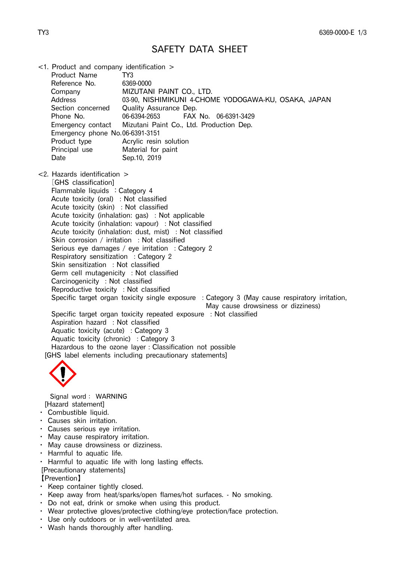## SAFETY DATA SHEET

| $\leq$ 1. Product and company identification $>$              |                                                      |  |  |  |
|---------------------------------------------------------------|------------------------------------------------------|--|--|--|
| Product Name                                                  | TY3                                                  |  |  |  |
| Reference No.                                                 | 6369-0000                                            |  |  |  |
| Company                                                       | MIZUTANI PAINT CO., LTD.                             |  |  |  |
| Address                                                       | 03-90, NISHIMIKUNI 4-CHOME YODOGAWA-KU, OSAKA, JAPAN |  |  |  |
| Section concerned                                             | Quality Assurance Dep.                               |  |  |  |
| Phone No.                                                     | 06-6394-2653 FAX No. 06-6391-3429                    |  |  |  |
| Mizutani Paint Co., Ltd. Production Dep.<br>Emergency contact |                                                      |  |  |  |
| Emergency phone No.06-6391-3151                               |                                                      |  |  |  |
| Product type                                                  | Acrylic resin solution                               |  |  |  |
| Principal use                                                 | Material for paint                                   |  |  |  |
| Date                                                          | Sep.10, 2019                                         |  |  |  |
|                                                               |                                                      |  |  |  |

<2. Hazards identification > [GHS classification] Flammable liquids : Category 4 Acute toxicity (oral) : Not classified Acute toxicity (skin) : Not classified Acute toxicity (inhalation:  $gas$ ) : Not applicable Acute toxicity (inhalation: vapour) : Not classified Acute toxicity (inhalation: dust, mist) : Not classified Skin corrosion / irritation : Not classified Serious eye damages / eye irritation : Category 2 Respiratory sensitization : Category 2 Skin sensitization : Not classified Germ cell mutagenicity : Not classified Carcinogenicity : Not classified Reproductive toxicity : Not classified Specific target organ toxicity single exposure : Category 3 (May cause respiratory irritation, May cause drowsiness or dizziness) Specific target organ toxicity repeated exposure : Not classified Aspiration hazard : Not classified Aquatic toxicity (acute) : Category 3 Aquatic toxicity (chronic) : Category 3 Hazardous to the ozone layer: Classification not possible [GHS label elements including precautionary statements]



 Signal word: WARNING [Hazard statement]

- ・ Combustible liquid.
- ・ Causes skin irritation.
- ・ Causes serious eye irritation.
- ・ May cause respiratory irritation.
- ・ May cause drowsiness or dizziness.
- ・ Harmful to aquatic life.
- ・ Harmful to aquatic life with long lasting effects.
- [Precautionary statements]

## 【Prevention】

- ・ Keep container tightly closed.
- ・ Keep away from heat/sparks/open flames/hot surfaces. No smoking.
- ・ Do not eat, drink or smoke when using this product.
- ・ Wear protective gloves/protective clothing/eye protection/face protection.
- ・ Use only outdoors or in well-ventilated area.
- ・ Wash hands thoroughly after handling.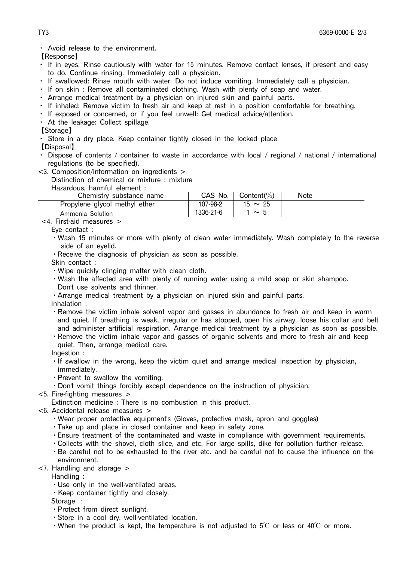・ Avoid release to the environment.

【Response】

- ・ If in eyes: Rinse cautiously with water for 15 minutes. Remove contact lenses, if present and easy to do. Continue rinsing. Immediately call a physician.
- ・ If swallowed: Rinse mouth with water. Do not induce vomiting. Immediately call a physician.
- ・ If on skin : Remove all contaminated clothing. Wash with plenty of soap and water.
- ・ Arrange medical treatment by a physician on injured skin and painful parts.
- ・ If inhaled: Remove victim to fresh air and keep at rest in a position comfortable for breathing.
- ・ If exposed or concerned, or if you feel unwell: Get medical advice/attention.
- ・ At the leakage: Collect spillage.

【Storage】

• Store in a dry place. Keep container tightly closed in the locked place.

【Disposal】

- ・ Dispose of contents / container to waste in accordance with local / regional / national / international regulations (to be specified).
- <3. Composition/information on ingredients >
	- Distinction of chemical or mixture : mixture

Hazardous, harmful element :

| Chemistry substance name      | CAS No.   | Content(%)   | Note |
|-------------------------------|-----------|--------------|------|
| Propylene glycol methyl ether | 107-98-2  | $15 \sim 25$ |      |
| Ammonia Solution              | 1336-21-6 | $\sim$ h     |      |
|                               |           |              |      |

<4. First-aid measures >

Eye contact :

 ・Wash 15 minutes or more with plenty of clean water immediately. Wash completely to the reverse side of an eyelid.

・Receive the diagnosis of physician as soon as possible.

Skin contact :

・Wipe quickly clinging matter with clean cloth.

- ・Wash the affected area with plenty of running water using a mild soap or skin shampoo. Don't use solvents and thinner.
- ・Arrange medical treatment by a physician on injured skin and painful parts.

Inhalation :

- ・Remove the victim inhale solvent vapor and gasses in abundance to fresh air and keep in warm and quiet. If breathing is weak, irregular or has stopped, open his airway, loose his collar and belt and administer artificial respiration. Arrange medical treatment by a physician as soon as possible.
- ・Remove the victim inhale vapor and gasses of organic solvents and more to fresh air and keep quiet. Then, arrange medical care.
- Ingestion :
- ・If swallow in the wrong, keep the victim quiet and arrange medical inspection by physician, immediately.
- ・Prevent to swallow the vomiting.
- ・Don't vomit things forcibly except dependence on the instruction of physician.
- <5. Fire-fighting measures >

Extinction medicine : There is no combustion in this product.

- <6. Accidental release measures >
	- ・Wear proper protective equipment's (Gloves, protective mask, apron and goggles)
	- ・Take up and place in closed container and keep in safety zone.
	- ・Ensure treatment of the contaminated and waste in compliance with government requirements.
	- ・Collects with the shovel, cloth slice, and etc. For large spills, dike for pollution further release.
	- ・Be careful not to be exhausted to the river etc. and be careful not to cause the influence on the environment.
- <7. Handling and storage >

Handling :

- ・Use only in the well-ventilated areas.
- ・Keep container tightly and closely.

Storage :

- ・Protect from direct sunlight.
- ・Store in a cool dry, well-ventilated location.
- When the product is kept, the temperature is not adjusted to 5°C or less or 40°C or more.